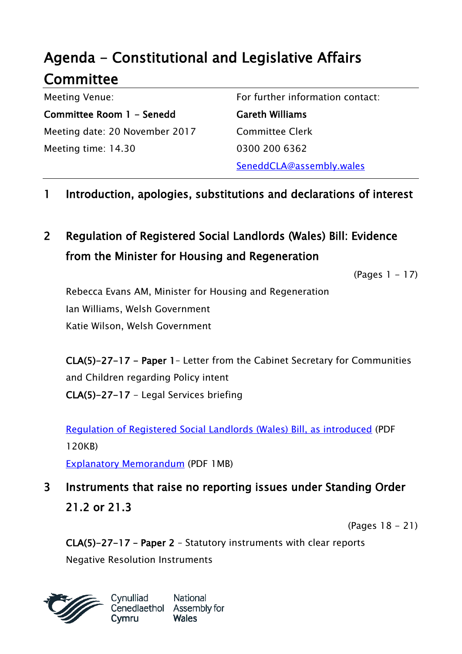# Agenda - Constitutional and Legislative Affairs Committee

Meeting Venue: Committee Room 1 - Senedd Meeting date: 20 November 2017 Meeting time: 14.30

For further information contact:

Gareth Williams Committee Clerk 0300 200 6362 SeneddCLA@assembly.wales

### 1 Introduction, apologies, substitutions and declarations of interest

# 2 Regulation of Registered Social Landlords (Wales) Bill: Evidence from the Minister for Housing and Regeneration

(Pages 1 - 17)

Rebecca Evans AM, Minister for Housing and Regeneration Ian Williams, Welsh Government Katie Wilson, Welsh Government

CLA(5)-27-17 - Paper 1– Letter from the Cabinet Secretary for Communities and Children regarding Policy intent CLA(5)-27-17 - Legal Services briefing

[Regulation of Registered Social Landlords \(Wales\) Bill, as introduced](http://www.assembly.wales/laid%20documents/pri-ld11230/pri-ld11230-e.pdf) (PDF 120KB)

[Explanatory Memorandum](http://www.assembly.wales/laid%20documents/pri-ld11230-em/pri-ld11230-em-e.pdf) (PDF 1MB)

3 Instruments that raise no reporting issues under Standing Order 21.2 or 21.3

(Pages 18 - 21)

CLA(5)-27-17 – Paper 2 – Statutory instruments with clear reports

Negative Resolution Instruments

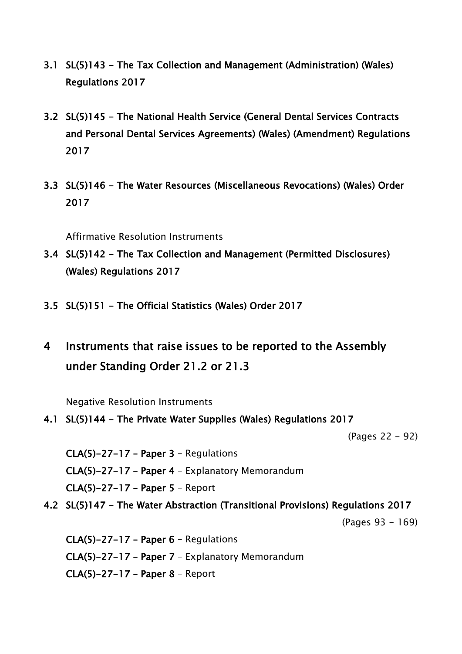- 3.1 SL(5)143 The Tax Collection and Management (Administration) (Wales) Regulations 2017
- 3.2 SL(5)145 The National Health Service (General Dental Services Contracts and Personal Dental Services Agreements) (Wales) (Amendment) Regulations 2017
- 3.3 SL(5)146 The Water Resources (Miscellaneous Revocations) (Wales) Order 2017

Affirmative Resolution Instruments

- 3.4 SL(5)142 The Tax Collection and Management (Permitted Disclosures) (Wales) Regulations 2017
- 3.5 SL(5)151 The Official Statistics (Wales) Order 2017
- 4 Instruments that raise issues to be reported to the Assembly under Standing Order 21.2 or 21.3

Negative Resolution Instruments

4.1 SL(5)144 - The Private Water Supplies (Wales) Regulations 2017

(Pages 22 - 92)

CLA(5)-27-17 – Paper 3 – Regulations CLA(5)-27-17 – Paper 4 – Explanatory Memorandum CLA(5)-27-17 – Paper 5 – Report

4.2 SL(5)147 - The Water Abstraction (Transitional Provisions) Regulations 2017

(Pages 93 - 169)

CLA(5)-27-17 – Paper 6 – Regulations CLA(5)-27-17 – Paper 7 – Explanatory Memorandum CLA(5)-27-17 – Paper 8 – Report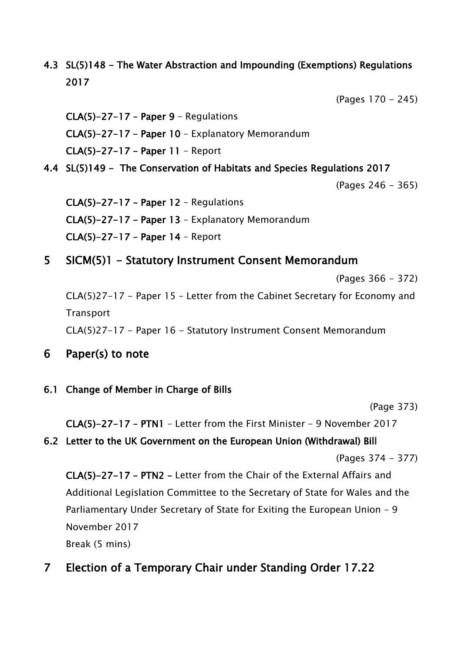### 4.3 SL(5)148 - The Water Abstraction and Impounding (Exemptions) Regulations 2017

(Pages 170 - 245)

CLA(5)-27-17 – Paper 9 – Regulations CLA(5)-27-17 – Paper 10 – Explanatory Memorandum CLA(5)-27-17 – Paper 11 – Report

4.4 SL(5)149 - The Conservation of Habitats and Species Regulations 2017

(Pages 246 - 365)

CLA(5)-27-17 – Paper 12 – Regulations CLA(5)-27-17 – Paper 13 – Explanatory Memorandum CLA(5)-27-17 – Paper 14 – Report

5 SICM(5)1 - Statutory Instrument Consent Memorandum

(Pages 366 - 372)

CLA(5)27-17 - Paper 15 – Letter from the Cabinet Secretary for Economy and **Transport** 

CLA(5)27-17 - Paper 16 - Statutory Instrument Consent Memorandum

6 Paper(s) to note

### 6.1 Change of Member in Charge of Bills

(Page 373)

CLA(5)-27-17 – PTN1 – Letter from the First Minister – 9 November 2017

### 6.2 Letter to the UK Government on the European Union (Withdrawal) Bill

(Pages 374 - 377)

CLA(5)-27-17 – PTN2 – Letter from the Chair of the External Affairs and Additional Legislation Committee to the Secretary of State for Wales and the Parliamentary Under Secretary of State for Exiting the European Union – 9 November 2017

Break (5 mins)

### 7 Election of a Temporary Chair under Standing Order 17.22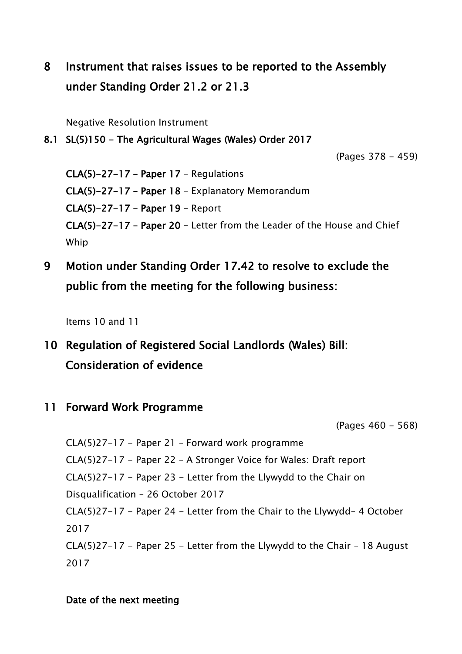# 8 Instrument that raises issues to be reported to the Assembly under Standing Order 21.2 or 21.3

Negative Resolution Instrument

#### 8.1 SL(5)150 - The Agricultural Wages (Wales) Order 2017

(Pages 378 - 459)

CLA(5)-27-17 – Paper 17 – Regulations CLA(5)-27-17 – Paper 18 – Explanatory Memorandum CLA(5)-27-17 – Paper 19 – Report CLA(5)-27-17 – Paper 20 – Letter from the Leader of the House and Chief Whip

9 Motion under Standing Order 17.42 to resolve to exclude the public from the meeting for the following business:

Items 10 and 11

## 10 Regulation of Registered Social Landlords (Wales) Bill: Consideration of evidence

11 Forward Work Programme

(Pages 460 - 568)

CLA(5)27-17 - Paper 21 – Forward work programme CLA(5)27-17 - Paper 22 – A Stronger Voice for Wales: Draft report CLA(5)27-17 - Paper 23 - Letter from the Llywydd to the Chair on Disqualification – 26 October 2017 CLA(5)27-17 - Paper 24 - Letter from the Chair to the Llywydd– 4 October 2017 CLA(5)27-17 - Paper 25 - Letter from the Llywydd to the Chair – 18 August 2017

#### Date of the next meeting